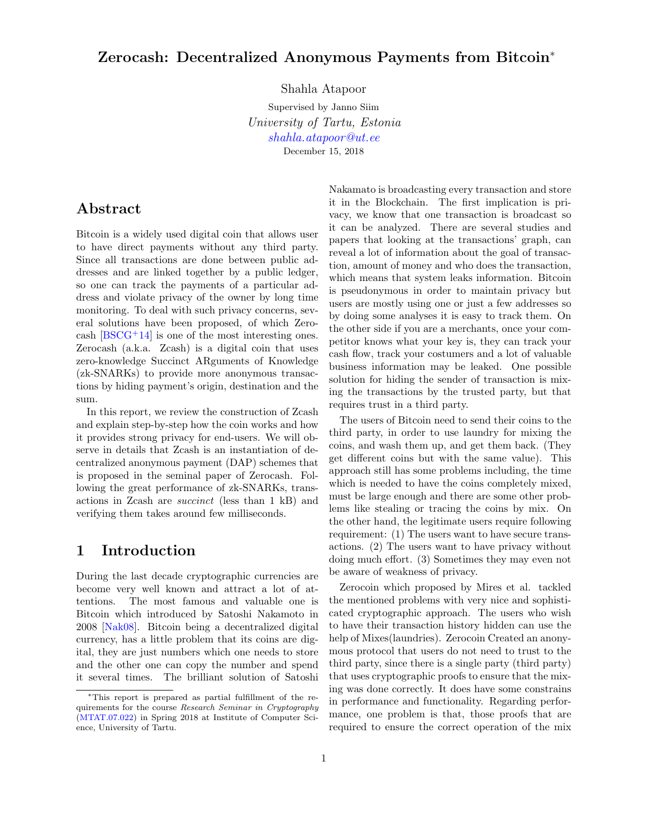# Zerocash: Decentralized Anonymous Payments from Bitcoin<sup>∗</sup>

Shahla Atapoor

Supervised by Janno Siim University of Tartu, Estonia [shahla.atapoor@ut.ee](mailto:shahla.atapoor@ut.ee) December 15, 2018

# Abstract

Bitcoin is a widely used digital coin that allows user to have direct payments without any third party. Since all transactions are done between public addresses and are linked together by a public ledger, so one can track the payments of a particular address and violate privacy of the owner by long time monitoring. To deal with such privacy concerns, several solutions have been proposed, of which Zerocash  $[BSCG+14]$  $[BSCG+14]$  is one of the most interesting ones. Zerocash (a.k.a. Zcash) is a digital coin that uses zero-knowledge Succinct ARguments of Knowledge (zk-SNARKs) to provide more anonymous transactions by hiding payment's origin, destination and the sum.

In this report, we review the construction of Zcash and explain step-by-step how the coin works and how it provides strong privacy for end-users. We will observe in details that Zcash is an instantiation of decentralized anonymous payment (DAP) schemes that is proposed in the seminal paper of Zerocash. Following the great performance of zk-SNARKs, transactions in Zcash are succinct (less than 1 kB) and verifying them takes around few milliseconds.

## 1 Introduction

During the last decade cryptographic currencies are become very well known and attract a lot of attentions. The most famous and valuable one is Bitcoin which introduced by Satoshi Nakamoto in 2008 [\[Nak08\]](#page-7-1). Bitcoin being a decentralized digital currency, has a little problem that its coins are digital, they are just numbers which one needs to store and the other one can copy the number and spend it several times. The brilliant solution of Satoshi Nakamato is broadcasting every transaction and store it in the Blockchain. The first implication is privacy, we know that one transaction is broadcast so it can be analyzed. There are several studies and papers that looking at the transactions' graph, can reveal a lot of information about the goal of transaction, amount of money and who does the transaction, which means that system leaks information. Bitcoin is pseudonymous in order to maintain privacy but users are mostly using one or just a few addresses so by doing some analyses it is easy to track them. On the other side if you are a merchants, once your competitor knows what your key is, they can track your cash flow, track your costumers and a lot of valuable business information may be leaked. One possible solution for hiding the sender of transaction is mixing the transactions by the trusted party, but that requires trust in a third party.

The users of Bitcoin need to send their coins to the third party, in order to use laundry for mixing the coins, and wash them up, and get them back. (They get different coins but with the same value). This approach still has some problems including, the time which is needed to have the coins completely mixed, must be large enough and there are some other problems like stealing or tracing the coins by mix. On the other hand, the legitimate users require following requirement: (1) The users want to have secure transactions. (2) The users want to have privacy without doing much effort. (3) Sometimes they may even not be aware of weakness of privacy.

Zerocoin which proposed by Mires et al. tackled the mentioned problems with very nice and sophisticated cryptographic approach. The users who wish to have their transaction history hidden can use the help of Mixes(laundries). Zerocoin Created an anonymous protocol that users do not need to trust to the third party, since there is a single party (third party) that uses cryptographic proofs to ensure that the mixing was done correctly. It does have some constrains in performance and functionality. Regarding performance, one problem is that, those proofs that are required to ensure the correct operation of the mix

<sup>∗</sup>This report is prepared as partial fulfillment of the requirements for the course Research Seminar in Cryptography [\(MTAT.07.022\)](https://courses.cs.ut.ee/2018/cryptoseminar/spring) in Spring 2018 at Institute of Computer Science, University of Tartu.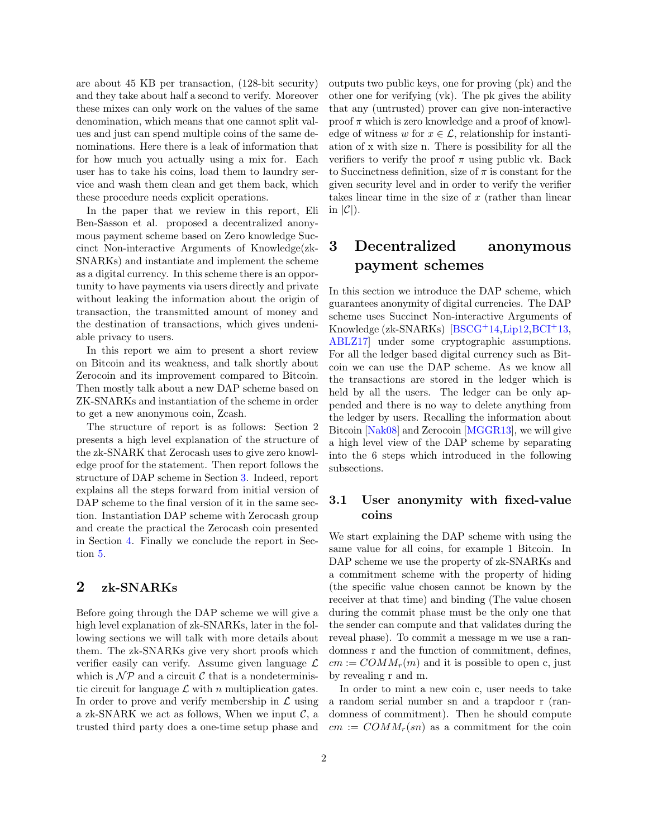are about 45 KB per transaction, (128-bit security) and they take about half a second to verify. Moreover these mixes can only work on the values of the same denomination, which means that one cannot split values and just can spend multiple coins of the same denominations. Here there is a leak of information that for how much you actually using a mix for. Each user has to take his coins, load them to laundry service and wash them clean and get them back, which these procedure needs explicit operations.

In the paper that we review in this report, Eli Ben-Sasson et al. proposed a decentralized anonymous payment scheme based on Zero knowledge Succinct Non-interactive Arguments of Knowledge(zk-SNARKs) and instantiate and implement the scheme as a digital currency. In this scheme there is an opportunity to have payments via users directly and private without leaking the information about the origin of transaction, the transmitted amount of money and the destination of transactions, which gives undeniable privacy to users.

In this report we aim to present a short review on Bitcoin and its weakness, and talk shortly about Zerocoin and its improvement compared to Bitcoin. Then mostly talk about a new DAP scheme based on ZK-SNARKs and instantiation of the scheme in order to get a new anonymous coin, Zcash.

The structure of report is as follows: Section 2 presents a high level explanation of the structure of the zk-SNARK that Zerocash uses to give zero knowledge proof for the statement. Then report follows the structure of DAP scheme in Section [3.](#page-1-0) Indeed, report explains all the steps forward from initial version of DAP scheme to the final version of it in the same section. Instantiation DAP scheme with Zerocash group and create the practical the Zerocash coin presented in Section [4.](#page-5-0) Finally we conclude the report in Section [5.](#page-6-0)

## 2 zk-SNARKs

Before going through the DAP scheme we will give a high level explanation of zk-SNARKs, later in the following sections we will talk with more details about them. The zk-SNARKs give very short proofs which verifier easily can verify. Assume given language  $\mathcal L$ which is  $\mathcal{NP}$  and a circuit  $\mathcal C$  that is a nondeterministic circuit for language  $\mathcal L$  with n multiplication gates. In order to prove and verify membership in  $\mathcal L$  using a zk-SNARK we act as follows, When we input  $\mathcal{C}$ , a trusted third party does a one-time setup phase and outputs two public keys, one for proving (pk) and the other one for verifying (vk). The pk gives the ability that any (untrusted) prover can give non-interactive proof  $\pi$  which is zero knowledge and a proof of knowledge of witness w for  $x \in \mathcal{L}$ , relationship for instantiation of x with size n. There is possibility for all the verifiers to verify the proof  $\pi$  using public vk. Back to Succinctness definition, size of  $\pi$  is constant for the given security level and in order to verify the verifier takes linear time in the size of  $x$  (rather than linear in  $|\mathcal{C}|$ ).

# <span id="page-1-0"></span>3 Decentralized anonymous payment schemes

In this section we introduce the DAP scheme, which guarantees anonymity of digital currencies. The DAP scheme uses Succinct Non-interactive Arguments of Knowledge (zk-SNARKs) [\[BSCG](#page-7-0)<sup>+</sup>14[,Lip12,](#page-7-2)[BCI](#page-6-1)<sup>+</sup>13, [ABLZ17\]](#page-6-2) under some cryptographic assumptions. For all the ledger based digital currency such as Bitcoin we can use the DAP scheme. As we know all the transactions are stored in the ledger which is held by all the users. The ledger can be only appended and there is no way to delete anything from the ledger by users. Recalling the information about Bitcoin [\[Nak08\]](#page-7-1) and Zerocoin [\[MGGR13\]](#page-7-3), we will give a high level view of the DAP scheme by separating into the 6 steps which introduced in the following subsections.

## 3.1 User anonymity with fixed-value coins

We start explaining the DAP scheme with using the same value for all coins, for example 1 Bitcoin. In DAP scheme we use the property of zk-SNARKs and a commitment scheme with the property of hiding (the specific value chosen cannot be known by the receiver at that time) and binding (The value chosen during the commit phase must be the only one that the sender can compute and that validates during the reveal phase). To commit a message m we use a randomness r and the function of commitment, defines,  $cm := \text{COMM}_r(m)$  and it is possible to open c, just by revealing r and m.

In order to mint a new coin c, user needs to take a random serial number sn and a trapdoor r (randomness of commitment). Then he should compute  $cm := \text{COMM}_r(\text{sn})$  as a commitment for the coin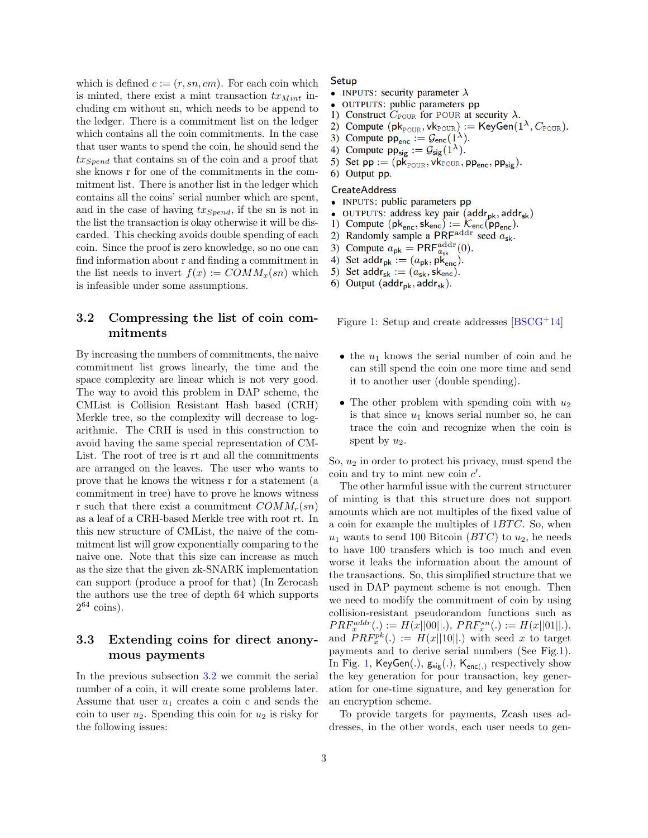which is defined  $c := (r, sn, cm)$ . For each coin which is minted, there exist a mint transaction  $tx_{Mint}$  including cm without sn, which needs to be append to the ledger. There is a commitment list on the ledger which contains all the coin commitments. In the case that user wants to spend the coin, he should send the  $tx_{Spend}$  that contains sn of the coin and a proof that she knows r for one of the commitments in the commitment list. There is another list in the ledger which contains all the coins' serial number which are spent, and in the case of having  $tx_{Spend}$ , if the sn is not in the list the transaction is okay otherwise it will be discarded. This checking avoids double spending of each coin. Since the proof is zero knowledge, so no one can find information about r and finding a commitment in the list needs to invert  $f(x) := \text{COMM}_x(\text{sn})$  which is infeasible under some assumptions.

## <span id="page-2-0"></span>3.2 Compressing the list of coin commitments

By increasing the numbers of commitments, the naive commitment list grows linearly, the time and the space complexity are linear which is not very good. The way to avoid this problem in DAP scheme, the CMList is Collision Resistant Hash based (CRH) Merkle tree, so the complexity will decrease to logarithmic. The CRH is used in this construction to avoid having the same special representation of CM-List. The root of tree is rt and all the commitments are arranged on the leaves. The user who wants to prove that he knows the witness r for a statement (a commitment in tree) have to prove he knows witness r such that there exist a commitment  $COMM_r(sn)$ as a leaf of a CRH-based Merkle tree with root rt. In this new structure of CMList, the naive of the commitment list will grow exponentially comparing to the naive one. Note that this size can increase as much as the size that the given zk-SNARK implementation can support (produce a proof for that) (In Zerocash the authors use the tree of depth 64 which supports  $2^{64}$  coins).

## 3.3 Extending coins for direct anonymous payments

In the previous subsection [3.2](#page-2-0) we commit the serial number of a coin, it will create some problems later. Assume that user  $u_1$  creates a coin c and sends the coin to user  $u_2$ . Spending this coin for  $u_2$  is risky for the following issues:

#### Setup

- INPUTS: security parameter  $\lambda$
- OUTPUTS: public parameters pp
- 1) Construct  $C_{\text{POUR}}$  for POUR at security  $\lambda$ .
- 2) Compute  $(\mathsf{pk}_{\text{POUR}}, \mathsf{vk}_{\text{POUR}}) := \mathsf{KeyGen}(1^{\lambda}, C_{\text{POUR}}).$
- 3) Compute  $pp_{\text{enc}} := \mathcal{G}_{\text{enc}}(1^{\lambda})$ .
- 4) Compute  $pp_{sig} := G_{sig}(1^{\lambda})$ .
- 5) Set  $pp := (pk_{\text{POUR}}, vk_{\text{POUR}}, pp_{\text{enc}}, pp_{\text{sig}})$ .

## 6) Output pp. **CreateAddress**

- $\bullet$ INPUTS: public parameters pp
- OUTPUTS: address key pair (addr<sub>pk</sub>, addr<sub>sk</sub>)  $\bullet$
- 1) Compute  $(\mathsf{pk}_{\mathsf{enc}}, \mathsf{sk}_{\mathsf{enc}}) := \mathcal{K}_{\mathsf{enc}}(\mathsf{pp}_{\mathsf{enc}}).$
- Randomly sample a PRF $^{addr}$  seed  $a_{sk}$ . 2)
- Compute  $a_{\rm pk} = \text{PRF}_{a_{\rm sk}}^{\text{addr}}(0)$ .<br>Set addr<sub>pk</sub> :=  $(a_{\rm pk}, \text{pk}_{\rm enc})$ . 3)
- 4)
- 5) Set addr<sub>sk</sub> :=  $(a_{\text{sk}}^{\text{p}}, s_{\text{k}}^{\text{p}})$ .
- 6) Output ( $\mathsf{addr}_{\mathsf{pk}}, \mathsf{addr}_{\mathsf{sk}}$ ).

<span id="page-2-1"></span>Figure 1: Setup and create addresses  $[BSCG^+14]$  $[BSCG^+14]$ 

- the  $u_1$  knows the serial number of coin and he can still spend the coin one more time and send it to another user (double spending).
- The other problem with spending coin with  $u_2$ is that since  $u_1$  knows serial number so, he can trace the coin and recognize when the coin is spent by  $u_2$ .

So,  $u_2$  in order to protect his privacy, must spend the coin and try to mint new coin  $c'$ .

The other harmful issue with the current structurer of minting is that this structure does not support amounts which are not multiples of the fixed value of a coin for example the multiples of  $1BTC$ . So, when  $u_1$  wants to send 100 Bitcoin (BTC) to  $u_2$ , he needs to have 100 transfers which is too much and even worse it leaks the information about the amount of the transactions. So, this simplified structure that we used in DAP payment scheme is not enough. Then we need to modify the commitment of coin by using collision-resistant pseudorandom functions such as  $PRF_x^{addr}(.) := H(x||00||.), PRF_x^{sn}(.) := H(x||01||.),$ and  $PRF_x^{pk}(.) := H(x||10||.)$  with seed x to target payments and to derive serial numbers (See Fig[.1\)](#page-2-1). In Fig. [1,](#page-2-1)  $KeyGen(.)$ ,  $g_{sig}(.)$ ,  $K_{enc(.)}$  respectively show the key generation for pour transaction, key generation for one-time signature, and key generation for an encryption scheme.

To provide targets for payments, Zcash uses addresses, in the other words, each user needs to gen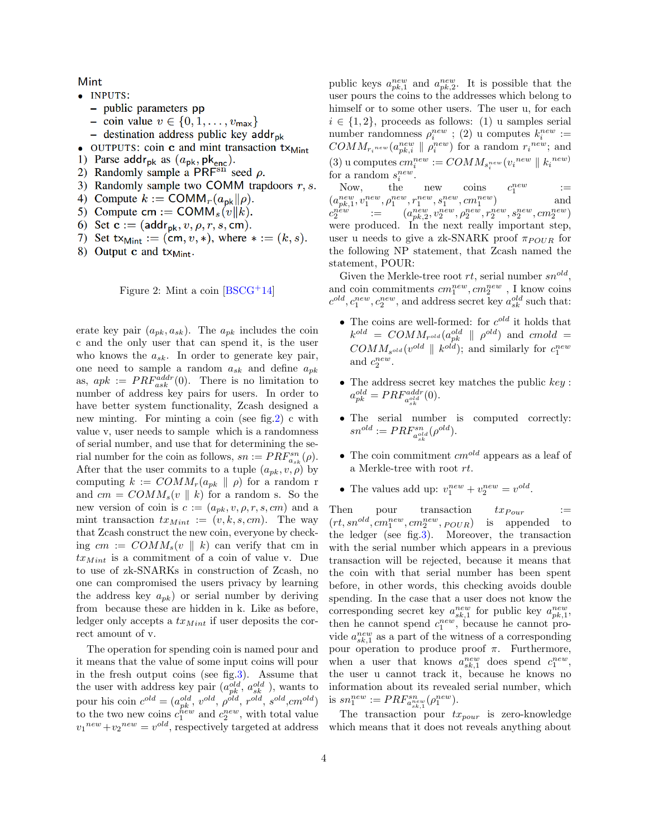Mint

- · INPUTS:
	- public parameters pp
	- coin value  $v \in \{0, 1, \ldots, v_{\text{max}}\}\$
	- destination address public key  $\mathsf{addr}_{\mathsf{pk}}$
- $\bullet$  OUTPUTS: coin **c** and mint transaction  $tx_{Mint}$
- 1) Parse addr<sub>pk</sub> as  $(a_{\rm pk}, \rm pk_{\rm enc})$ .
- 2) Randomly sample a PRF<sup>sn</sup> seed  $\rho$ .
- 3) Randomly sample two COMM trapdoors  $r, s$ .
- 4) Compute  $k := \text{COMM}_r(a_{\text{pk}}||\rho)$ .
- 5) Compute cm := COMM<sub>s</sub> $(v||k)$ .
- 6) Set  $\mathbf{c} := (\text{addr}_{\text{pk}}, v, \rho, r, s, \text{cm}).$
- 7) Set  $tx_{Mint} := (cm, v, *)$ , where  $* := (k, s)$ .
- 8) Output c and txMint.

<span id="page-3-0"></span>

erate key pair  $(a_{pk}, a_{sk})$ . The  $a_{pk}$  includes the coin c and the only user that can spend it, is the user who knows the  $a_{sk}$ . In order to generate key pair, one need to sample a random  $a_{sk}$  and define  $a_{pk}$ as,  $apk := PRF_{ask}^{addr}(0)$ . There is no limitation to number of address key pairs for users. In order to have better system functionality, Zcash designed a new minting. For minting a coin (see fig[.2\)](#page-3-0) c with value v, user needs to sample which is a randomness of serial number, and use that for determining the serial number for the coin as follows,  $sn := PRF_{a_{sk}}^{sn}(\rho)$ . After that the user commits to a tuple  $(a_{pk}, v, \rho)$  by computing  $k := \text{COMM}_r(a_{pk} \parallel \rho)$  for a random r and  $cm = \text{COMM}_s(v \parallel k)$  for a random s. So the new version of coin is  $c := (a_{pk}, v, \rho, r, s, cm)$  and a mint transaction  $tx_{Mint} := (v, k, s, cm)$ . The way that Zcash construct the new coin, everyone by checking  $cm := \text{COMM}_s(v \parallel k)$  can verify that cm in  $tx_{Mint}$  is a commitment of a coin of value v. Due to use of zk-SNARKs in construction of Zcash, no one can compromised the users privacy by learning the address key  $a_{pk}$  or serial number by deriving from because these are hidden in k. Like as before, ledger only accepts a  $tx_{Mint}$  if user deposits the correct amount of v.

The operation for spending coin is named pour and it means that the value of some input coins will pour in the fresh output coins (see fig[.3\)](#page-4-0). Assume that the user with address key pair  $(a_{pk}^{old}, a_{sk}^{old})$ , wants to pour his coin  $c^{old} = (a_{pk}^{old}, v^{old}, \rho^{old}, r^{old}, s^{old}, cm^{old})$ to the two new coins  $c_1^{new}$  and  $c_2^{new}$ , with total value  $v_1^{new} + v_2^{new} = v^{old}$ , respectively targeted at address

public keys  $a_{pk,1}^{new}$  and  $a_{pk,2}^{new}$ . It is possible that the user pours the coins to the addresses which belong to himself or to some other users. The user u, for each  $i \in \{1, 2\}$ , proceeds as follows: (1) u samples serial number randomness  $\rho_i^{new}$ ; (2) u computes  $k_i^{new}$ :=  $COMM_{r_i^{new}}(a_{pk,i}^{new} \parallel \rho_i^{new})$  for a random  $r_i^{new}$ ; and (3) u computes  $cm_i^{new} := COMM_{s_i^{new}}(v_i^{new} \parallel k_i^{new})$ for a random  $s_i^{new}$ .

Now, the new coins  $c$ new 1 :=  $(a_{pk,1}^{new}, v_1^{new}, \rho_1^{new}, r_1^{new}, s_1^{new}, cm_1^{new})$  and  $c_2^{n \stackrel{new}{e^w}} \quad \ \ := \quad \quad (a_{pk,2}^{new}, v_2^{new}, \rho_2^{new}, r_2^{new}, s_2^{new}, c m_2^{new})$ were produced. In the next really important step, user u needs to give a zk-SNARK proof  $\pi_{POUR}$  for the following NP statement, that Zcash named the statement, POUR:

Given the Merkle-tree root  $rt$ , serial number  $sn^{old}$ , and coin commitments  $cm_1^{new}, cm_2^{new}$ , I know coins  $c^{old}, c_1^{new}, c_2^{new}$ , and address secret key  $a_{sk}^{old}$  such that:

- The coins are well-formed: for  $c^{old}$  it holds that  $k^{old}$  =  $\textit{COMM}_{r^{old}}(a_{pk}^{old} \parallel \rho^{old})$  and  $\textit{cmold}$  =  $COMM_{s^{old}}(v^{old} \parallel k^{old});$  and similarly for  $c_1^{new}$ and  $c_2^{new}$ .
- The address secret key matches the public  $key$ :  $a_{pk}^{old} = PRF_{a_{sk}^{old}}^{addr}(0).$
- The serial number is computed correctly:  $sn^{old} := PRF^{sn}_{a^{old}_{sk}}(\rho^{old}).$
- The coin commitment  $cm^{old}$  appears as a leaf of a Merkle-tree with root rt.
- The values add up:  $v_1^{new} + v_2^{new} = v^{old}$ .

Then pour transaction  $tx_{Pour}$  :=  $(rt, sn^{old}, cm_1^{new}, cm_2^{new}, p_{OUR})$  is appended to the ledger (see fig[.3\)](#page-4-0). Moreover, the transaction with the serial number which appears in a previous transaction will be rejected, because it means that the coin with that serial number has been spent before, in other words, this checking avoids double spending. In the case that a user does not know the corresponding secret key  $a_{sk,1}^{new}$  for public key  $a_{pk,1}^{new}$ , then he cannot spend  $c_1^{new}$ , because he cannot provide  $a_{sk,1}^{new}$  as a part of the witness of a corresponding pour operation to produce proof  $\pi$ . Furthermore, when a user that knows  $a_{sk,1}^{new}$  does spend  $c_1^{new}$ , the user u cannot track it, because he knows no information about its revealed serial number, which is  $sn_1^{new} := PRF_{a_{sk,1}^{new}}^{sn}(\rho_1^{new})$ .

The transaction pour  $tx_{pour}$  is zero-knowledge which means that it does not reveals anything about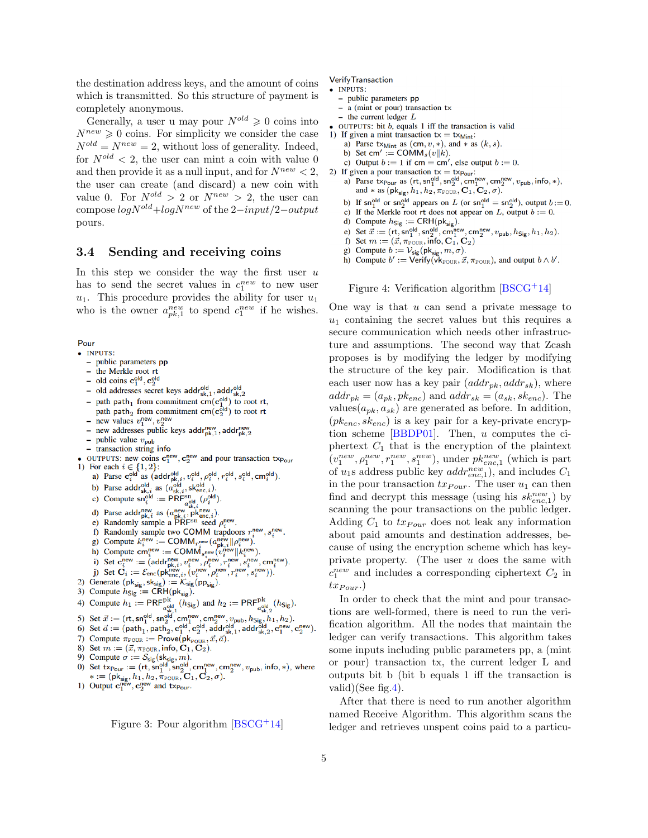the destination address keys, and the amount of coins which is transmitted. So this structure of payment is completely anonymous.

Generally, a user u may pour  $N^{old} \geq 0$  coins into  $N^{new} \geqslant 0$  coins. For simplicity we consider the case  $N^{old} = N^{new} = 2$ , without loss of generality. Indeed, for  $N^{old} < 2$ , the user can mint a coin with value 0 and then provide it as a null input, and for  $N^{new} < 2$ , the user can create (and discard) a new coin with value 0. For  $N^{old} > 2$  or  $N^{new} > 2$ , the user can compose  $logN^{old} + logN^{new}$  of the 2−input/2−output pours.

#### 3.4 Sending and receiving coins

In this step we consider the way the first user  $u$ has to send the secret values in  $c_1^{new}$  to new user  $u_1$ . This procedure provides the ability for user  $u_1$ who is the owner  $a_{pk,1}^{new}$  to spend  $c_1^{new}$  if he wishes.

Pour

- · INPUTS:
	- public parameters pp
	- the Merkle root rt  $\overline{a}$
	- old coins  $\mathbf{c}_1^{\text{old}}, \mathbf{c}_2^{\text{old}}$
	- old addresses secret keys  $\mathsf{addr}^{\mathsf{old}}_{\mathsf{sk},1}$ , addr $^{\mathsf{old}}_{\mathsf{sk},2}$
	- path path<sub>1</sub> from commitment cm( $\mathbf{c}_1^{\text{old}}$ ) to root rt,  $\overline{a}$ path path<sub>2</sub> from commitment cm( $c_2^{\text{old}}$ ) to root rt
	- new values  $v_1^{\text{new}}, v_2^{\text{new}}$  $\overline{\phantom{0}}$
	- new addresses public keys addr<sup>new</sup> addr<sup>new</sup>
	- public value  $v_{\text{pub}}$
	- transaction string info
- OUTPUTS: new coins  $\mathbf{c}_1^{\text{new}}, \mathbf{c}_2^{\text{new}}$  and pour transaction  $\text{tx}_{\text{Pour}}$
- 1) For each  $i \in \{1, 2\}$ :<br>
a) Parse  $c_i^{\text{old}}$  as  $(\text{add}r_{\text{pk},i}^{\text{old}}, v_i^{\text{old}}, \rho_i^{\text{old}}, r_i^{\text{old}}, s_i^{\text{old}}, \text{cm}_i^{\text{old}})$ .<br>
b) Parse  $\text{add}r_{\text{sk},i}^{\text{old}}$  as  $(a_{\text{sk},i}^{\text{old}}, s_{\text{kenc},i}^{\text{old}})$ .
	-
	- c) Compute  $\mathsf{sn}_i^{\mathsf{old}} := \mathsf{PRF}_{a_{\mathsf{el}}^{\mathsf{old}}}^{\mathsf{new}}, (\rho_i^{\mathsf{old}})$
	-
	- d) Parse addr<sup>new</sup> as  $(a_{\text{pk},i}^{\text{new}}, \text{pk}_{\text{enc},i}^{\text{new}})$ .<br>e) Randomly sample a PRF<sup>Sn</sup> seed  $\rho_i^{\text{new}}$ .
	-
	- f) Randomly sample two COMM trapdoors  $r_i^{\text{new}}, s_i^{\text{new}}$ .
	- g) Compute  $k_i^{\text{new}} := \text{COMM}_{n_i^{\text{new}}} (a_{\text{pk},i}^{\text{new}} || \rho_i^{\text{new}})$ .<br>h) Compute cm<sup>new</sup> := COMM<sub>n</sub><sup>new</sup> ( $a_{\text{pk},i}^{\text{new}} || k_i^{\text{new}}$ ).
	-
	- i) Set  $\mathbf{C}_i := \mathcal{E}_{\text{enc}}(\text{pk}_{\text{pk},i}^{new}, v_i^{\text{new}}, \rho_i^{\text{new}}, v_i^{\text{new}}, s_i^{\text{new}}, \text{cm}_i^{\text{new}}).$ <br>
	(i) Set  $\mathbf{C}_i := \mathcal{E}_{\text{enc}}(\text{pk}_{\text{enc},i}^{new}, v_i^{\text{new}}, \rho_i^{\text{new}}, v_i^{\text{new}}, s_i^{\text{new}}).$
	-
- 2) Generate  $(\mathsf{pk}_{\mathsf{sig}}, \mathsf{sk}_{\mathsf{sig}}) := \mathcal{K}_{\mathsf{sig}}(\mathsf{pp}_{\mathsf{sig}})$ .
- 3) Compute  $h_{\text{Sig}} := \overrightarrow{\text{CRH}}(pk_{\text{sig}})$ .
- 3) Compute  $h_{\text{sig}} := \text{CRF1}^{\text{pk}}(h_{\text{Sig}})$ .<br>
4) Compute  $h_1 := \text{PRF}_{\text{add}}^{\text{pk}}(h_{\text{Sig}})$  and  $h_2 := \text{PRF}_{\text{add}}^{\text{pk}}(h_{\text{Sig}})$ .<br>
5) Set  $\vec{x} := (\text{rt}, \text{sn}_1^{\text{old}}, \text{sn}_2^{\text{old}}, \text{cm}_1^{\text{new}}, \text{cm}_2^{\text{new}}, v_{\text{pub}}, h_{\text{Sig}}, h_1, h_2)$ .<br>
- 
- 
- 7) Compute  $\pi_{\text{POUR}} := \text{Prove}(\text{pk}_{\text{POUR}}, \vec{x}, \vec{a})$ .
- 8) Set  $m := (\vec{x}, \pi_{\text{POUR}}, \text{info}, C_1, C_2)$ .
- 
- 9) Compute  $\sigma := S_{sig}$  (sk<sub>ig</sub>, *m*).<br>
0) Set  $tx_{Pour} := (rt, sn_1^{\text{old}}, sn_2^{\text{old}}, cm_1^{\text{new}}, cm_2^{\text{new}}, v_{pub}, info, *),$  where<br>  $* := (pk_{sig}, h_1, h_2, \pi_{\text{POUR}}, \mathbf{C}_1, \mathbf{C}_2, \sigma).$ <br>
1) Output  $\mathbf{c}_1^{\text{new}}, \mathbf{c}_2^{\text{new}}$  and  $tx_{Pour}$ .
- 

<span id="page-4-0"></span>Figure 3: Pour algorithm  $[{\rm BSCG^+14}]$ 

**Verify Transaction** 

- · INPUTS:
- public parameters pp
- a (mint or pour) transaction tx
- $-$  the current ledger  $L$
- $\bullet$  OUTPUTS: bit b, equals 1 iff the transaction is valid
- 1) If given a mint transaction  $tx = tx_{\text{Mint}}$ :
	- a) Parse tx<sub>Mint</sub> as  $(\text{cm}, v, *)$ , and  $*$  as  $(k, s)$ . b) Set cm' := COMM<sub>s</sub> $(v||k)$ .
	- c) Output  $b := 1$  if cm = cm', else output  $b := 0$ .
	-
- 2) If given a pour transaction  $tx = tx_{\text{Pour}}$ :<br>a) Parse  $tx_{\text{Pour}}$  as  $(rt, sn_1^{\text{old}}, sn_2^{\text{old}}, cm_1^{\text{new}}, cm_2^{\text{new}}, v_{\text{pub}}, \text{info}, *)$ , and \* as  $(\mathsf{pk}_{\mathsf{sig}}, h_1, h_2, \pi_{\text{POUR}}, \mathbf{C}_1, \mathbf{C}_2, \sigma)$ .
	- b) If  $\mathsf{sn}_1^{\text{old}}$  or  $\mathsf{sn}_2^{\text{old}}$  appears on L (or  $\mathsf{sn}_1^{\text{old}} = \mathsf{sn}_2^{\text{old}}$ ), output  $b := 0$ .
	- c) If the Merkle root rt does not appear on L, output  $b := 0$ .
	-
	- d) Compute  $h_{Sig} := \text{CRH}(p k_{sig})$ .<br>
	e) Set  $\vec{x} := (rt, sn_1^{old}, sn_2^{old}, cm_1^{new}, cm_2^{new}, v_{pub}, h_{Sig}, h_1, h_2)$ .
	- f) Set  $m := (\vec{x}, \pi_{\text{POUR}}^1, \hat{\text{info}}, \text{C}_1^1, \text{C}_2)$
	- g) Compute  $b := \mathcal{V}_{\text{sig}}(\text{pk}_{\text{sig}}, m, \sigma)$ .
	- h) Compute  $b' := \text{Verify}(vk_{\text{POUR}}, \vec{x}, \pi_{\text{POUR}})$ , and output  $b \wedge b'$ .

<span id="page-4-1"></span>Figure 4: Verification algorithm [\[BSCG](#page-7-0)+14]

One way is that  $u$  can send a private message to  $u_1$  containing the secret values but this requires a secure communication which needs other infrastructure and assumptions. The second way that Zcash proposes is by modifying the ledger by modifying the structure of the key pair. Modification is that each user now has a key pair  $(addr_{pk}, addr_{sk})$ , where  $addr_{pk} = (a_{pk}, pk_{enc})$  and  $addr_{sk} = (a_{sk}, sk_{enc})$ . The values $(a_{pk}, a_{sk})$  are generated as before. In addition,  $(pk_{enc}, sk_{enc})$  is a key pair for a key-private encryption scheme [\[BBDP01\]](#page-6-3). Then, u computes the ciphertext  $C_1$  that is the encryption of the plaintext  $(v_1^{new}, \rho_1^{new}, r_1^{new}, s_1^{new})$ , under  $pk_{enc,1}^{new}$  (which is part of  $u_1$ s address public key  $addr_{enc,1}^{new}$ ), and includes  $C_1$ in the pour transaction  $tx_{Pour}$ . The user  $u_1$  can then find and decrypt this message (using his  $sk_{enc,1}^{new}$ ) by scanning the pour transactions on the public ledger. Adding  $C_1$  to  $tx_{Pour}$  does not leak any information about paid amounts and destination addresses, because of using the encryption scheme which has keyprivate property. (The user u does the same with  $c_1^{new}$  and includes a corresponding ciphertext  $C_2$  in  $tx_{Pour.})$ 

In order to check that the mint and pour transactions are well-formed, there is need to run the verification algorithm. All the nodes that maintain the ledger can verify transactions. This algorithm takes some inputs including public parameters pp, a (mint or pour) transaction tx, the current ledger L and outputs bit b (bit b equals 1 iff the transaction is valid)(See fig. 4).

After that there is need to run another algorithm named Receive Algorithm. This algorithm scans the ledger and retrieves unspent coins paid to a particu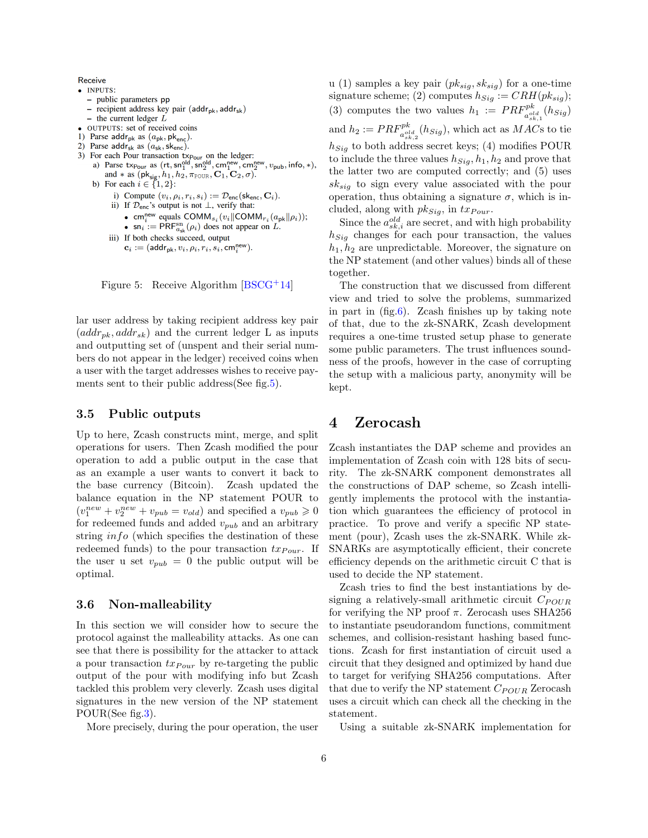Receive

- · INPUTS:
	- public parameters pp
	- recipient address key pair ( $\text{addr}_{\text{pk}}$ ,  $\text{addr}_{\text{sk}}$ )
	- the current ledger  $\overline{L}$
- OUTPUTS: set of received coins
- 1) Parse addr<sub>pk</sub> as  $(a_{\rm pk}, \rm pk_{\rm enc})$ .
- 2) Parse addr<sub>sk</sub> as  $(a_{sk}, sk_{enc})$ .
- 
- 3) For each Pour transaction  $\exp_{\text{our}}$  on the ledger:<br>a) Parse  $\exp_{\text{our}}$  as  $(\text{rt}, \text{sn}_1^{\text{old}}, \text{sn}_2^{\text{old}}, \text{cm}_1^{\text{new}}, \text{cm}_2^{\text{new}}, v_{\text{pub}}, \text{info}, *)$ and \* as (pk<sub>sig</sub>,  $h_1$ ,  $h_2$ ,  $\pi_{\text{POUR}}, \mathbf{C}_1, \mathbf{C}_2, \sigma$ ).<br>b) For each  $i \in \{1, 2\}$ :
	- - i) Compute  $(v_i, \rho_i, r_i, s_i) := \mathcal{D}_{\text{enc}}(\text{sk}_{\text{enc}}, \mathbf{C}_i)$ .
		- ii) If  $\mathcal{D}_{\text{enc}}$ 's output is not  $\perp$ , verify that:
			- cm<sup>new</sup> equals COMM<sub>s<sub>i</sub></sub> ( $v_i$ ||COMM<sub>r<sub>i</sub></sub>( $a_{\text{pk}}$ || $\rho_i$ ));
			- $\sin i := \text{PRF}_{a_{sk}}^{\text{sn}}(\rho_i)$  does not appear on L.

```
iii) If both checks succeed, output
```

```
\mathbf{c}_i := (\mathsf{addr}_{\mathsf{pk}}, v_i, \rho_i, r_i, s_i, \mathsf{cm}^{\mathsf{new}}_i).
```
Figure 5: Receive Algorithm [\[BSCG](#page-7-0)+14]

lar user address by taking recipient address key pair  $(addr_{pk}, addr_{sk})$  and the current ledger L as inputs and outputting set of (unspent and their serial numbers do not appear in the ledger) received coins when a user with the target addresses wishes to receive payments sent to their public address (See fig. 5).

#### 3.5 Public outputs

Up to here, Zcash constructs mint, merge, and split operations for users. Then Zcash modified the pour operation to add a public output in the case that as an example a user wants to convert it back to the base currency (Bitcoin). Zcash updated the balance equation in the NP statement POUR to  $(v_1^{new} + v_2^{new} + v_{pub} = v_{old})$  and specified a  $v_{pub} \ge 0$ for redeemed funds and added  $v_{pub}$  and an arbitrary string *info* (which specifies the destination of these redeemed funds) to the pour transaction  $tx_{Pour}$ . If the user u set  $v_{pub} = 0$  the public output will be optimal.

#### 3.6 Non-malleability

In this section we will consider how to secure the protocol against the malleability attacks. As one can see that there is possibility for the attacker to attack a pour transaction  $tx_{Pour}$  by re-targeting the public output of the pour with modifying info but Zcash tackled this problem very cleverly. Zcash uses digital signatures in the new version of the NP statement POUR(See fig[.3\)](#page-4-0).

More precisely, during the pour operation, the user

u (1) samples a key pair  $(pk_{sig}, sk_{sig})$  for a one-time signature scheme; (2) computes  $h_{Sig} := CRH(pk_{sig});$ (3) computes the two values  $h_1 := PRF_{a_{sk,1}^{old}}^{pk}(h_{Sig})$ and  $h_2 := PRF_{a_{sk,2}^{old}}^{pk}(h_{Sig}),$  which act as  $MAC$ s to tie  $h_{Sia}$  to both address secret keys; (4) modifies POUR to include the three values  $h_{Siq}, h_1, h_2$  and prove that the latter two are computed correctly; and (5) uses  $sk_{sia}$  to sign every value associated with the pour operation, thus obtaining a signature  $\sigma$ , which is included, along with  $pk_{Sig}$ , in  $tx_{Pour}$ .

Since the  $a_{sk,i}^{old}$  are secret, and with high probability  $h_{Sig}$  changes for each pour transaction, the values  $h_1, h_2$  are unpredictable. Moreover, the signature on the NP statement (and other values) binds all of these together.

The construction that we discussed from different view and tried to solve the problems, summarized in part in  $(fig.6)$  $(fig.6)$ . Zeash finishes up by taking note of that, due to the zk-SNARK, Zcash development requires a one-time trusted setup phase to generate some public parameters. The trust influences soundness of the proofs, however in the case of corrupting the setup with a malicious party, anonymity will be kept.

## <span id="page-5-0"></span>4 Zerocash

Zcash instantiates the DAP scheme and provides an implementation of Zcash coin with 128 bits of security. The zk-SNARK component demonstrates all the constructions of DAP scheme, so Zcash intelligently implements the protocol with the instantiation which guarantees the efficiency of protocol in practice. To prove and verify a specific NP statement (pour), Zcash uses the zk-SNARK. While zk-SNARKs are asymptotically efficient, their concrete efficiency depends on the arithmetic circuit C that is used to decide the NP statement.

Zcash tries to find the best instantiations by designing a relatively-small arithmetic circuit  $C_{POUR}$ for verifying the NP proof  $\pi$ . Zerocash uses SHA256 to instantiate pseudorandom functions, commitment schemes, and collision-resistant hashing based functions. Zcash for first instantiation of circuit used a circuit that they designed and optimized by hand due to target for verifying SHA256 computations. After that due to verify the NP statement  $C_{POUR}$  Zerocash uses a circuit which can check all the checking in the statement.

Using a suitable zk-SNARK implementation for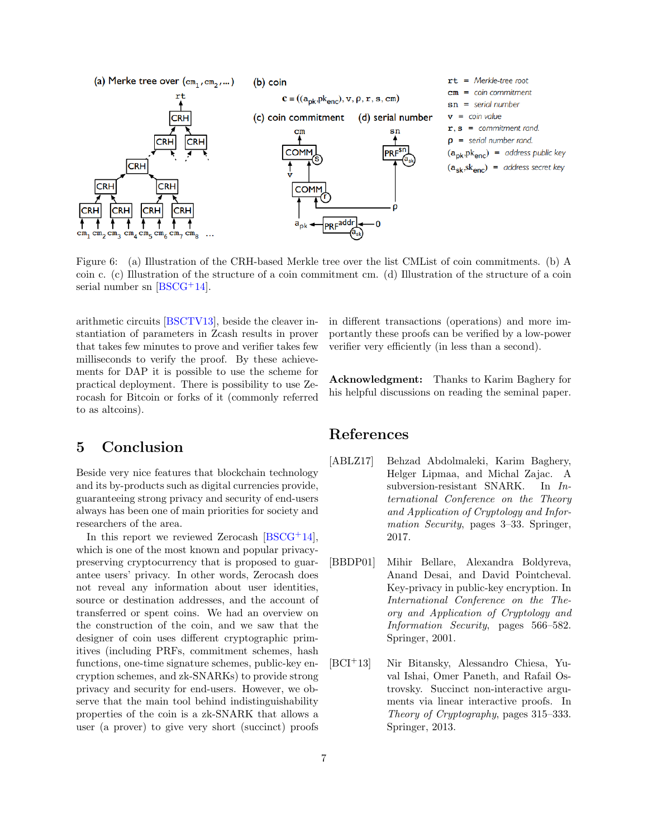

Figure 6: (a) Illustration of the CRH-based Merkle tree over the list CMList of coin commitments. (b) A coin c. (c) Illustration of the structure of a coin commitment cm. (d) Illustration of the structure of a coin serial number sn [\[BSCG](#page-7-0)+14].

arithmetic circuits [\[BSCTV13\]](#page-7-4), beside the cleaver instantiation of parameters in Zcash results in prover that takes few minutes to prove and verifier takes few milliseconds to verify the proof. By these achievements for DAP it is possible to use the scheme for practical deployment. There is possibility to use Zerocash for Bitcoin or forks of it (commonly referred to as altcoins).

## <span id="page-6-0"></span>5 Conclusion

Beside very nice features that blockchain technology and its by-products such as digital currencies provide, guaranteeing strong privacy and security of end-users always has been one of main priorities for society and researchers of the area.

In this report we reviewed Zerocash  $[BSCG<sup>+</sup>14]$  $[BSCG<sup>+</sup>14]$ , which is one of the most known and popular privacypreserving cryptocurrency that is proposed to guarantee users' privacy. In other words, Zerocash does not reveal any information about user identities, source or destination addresses, and the account of transferred or spent coins. We had an overview on the construction of the coin, and we saw that the designer of coin uses different cryptographic primitives (including PRFs, commitment schemes, hash functions, one-time signature schemes, public-key encryption schemes, and zk-SNARKs) to provide strong privacy and security for end-users. However, we observe that the main tool behind indistinguishability properties of the coin is a zk-SNARK that allows a user (a prover) to give very short (succinct) proofs

<span id="page-6-4"></span>in different transactions (operations) and more importantly these proofs can be verified by a low-power verifier very efficiently (in less than a second).

Acknowledgment: Thanks to Karim Baghery for his helpful discussions on reading the seminal paper.

## References

- <span id="page-6-2"></span>[ABLZ17] Behzad Abdolmaleki, Karim Baghery, Helger Lipmaa, and Michal Zajac. A subversion-resistant SNARK. In International Conference on the Theory and Application of Cryptology and Information Security, pages 3–33. Springer, 2017.
- <span id="page-6-3"></span>[BBDP01] Mihir Bellare, Alexandra Boldyreva, Anand Desai, and David Pointcheval. Key-privacy in public-key encryption. In International Conference on the Theory and Application of Cryptology and Information Security, pages 566–582. Springer, 2001.
- <span id="page-6-1"></span>[BCI<sup>+</sup>13] Nir Bitansky, Alessandro Chiesa, Yuval Ishai, Omer Paneth, and Rafail Ostrovsky. Succinct non-interactive arguments via linear interactive proofs. In Theory of Cryptography, pages 315–333. Springer, 2013.